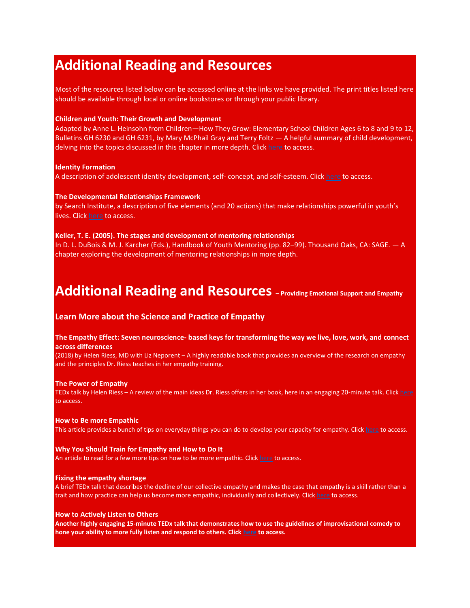# **Additional Reading and Resources**

Most of the resources listed below can be accessed online at the links we have provided. The print titles listed here should be available through local or online bookstores or through your public library.

## **Children and Youth: Their Growth and Development**

Adapted by Anne L. Heinsohn from Children—How They Grow: Elementary School Children Ages 6 to 8 and 9 to 12, Bulletins GH 6230 and GH 6231, by Mary McPhail Gray and Terry Foltz — A helpful summary of child development, delving into the topics discussed in this chapter in more depth. Click [here](https://extension.psu.edu/programs/4-h/get-involved/volunteers) to access.

## **Identity Formation**

A description of adolescent identity development, self- concept, and self-esteem. Click [here](https://courses.lumenlearning.com/wm-lifespandevelopment/chapter/identity-formation/) to access.

## **The Developmental Relationships Framework**

by Search Institute, a description of five elements (and 20 actions) that make relationships powerful in youth's lives. Clic[k here](https://www.search-institute.org/developmental-relationships/developmental-relationships-framework/) to access.

## **Keller, T. E. (2005). The stages and development of mentoring relationships**

In D. L. DuBois & M. J. Karcher (Eds.), Handbook of Youth Mentoring (pp. 82–99). Thousand Oaks, CA: SAGE. — A chapter exploring the development of mentoring relationships in more depth.

## **Additional Reading and Resources – Providing Emotional Support and Empathy**

## **Learn More about the Science and Practice of Empathy**

## **The Empathy Effect: Seven neuroscience- based keys for transforming the way we live, love, work, and connect across differences**

(2018) by Helen Riess, MD with Liz Neporent – A highly readable book that provides an overview of the research on empathy and the principles Dr. Riess teaches in her empathy training.

## **The Power of Empathy**

TEDx talk by Helen Riess – A review of the main ideas Dr. Riess offers in her book, here in an engaging 20-minute talk. Clic[k here](https://www.youtube.com/watch?v=baHrcC8B4WM) to access.

## **How to Be more Empathic**

This article provides a bunch of tips on everyday things you can do to develop your capacity for empathy. Clic[k here](https://www.nytimes.com/guides/year-of-living-better/how-to-be-more-empathetic) to access.

## **Why You Should Train for Empathy and How to Do It**

An article to read for a few more tips on how to be more empathic. Clic[k here](https://www.huffpost.com/entry/why-you-should-train-for-_b_7485950) to access.

## **Fixing the empathy shortage**

A brief TEDx talk that describes the decline of our collective empathy and makes the case that empathy is a skill rather than a trait and how practice can help us become more empathic, individually and collectively. Click [here](https://www.youtube.com/watch?v=-DspKSYxYDM) to access.

## **How to Actively Listen to Others**

**Another highly engaging 15-minute TEDx talk that demonstrates how to use the guidelines of improvisational comedy to hone your ability to more fully listen and respond to others. Click [here](https://www.youtube.com/watch?v=Yq5pJ0q3xuc) to access.**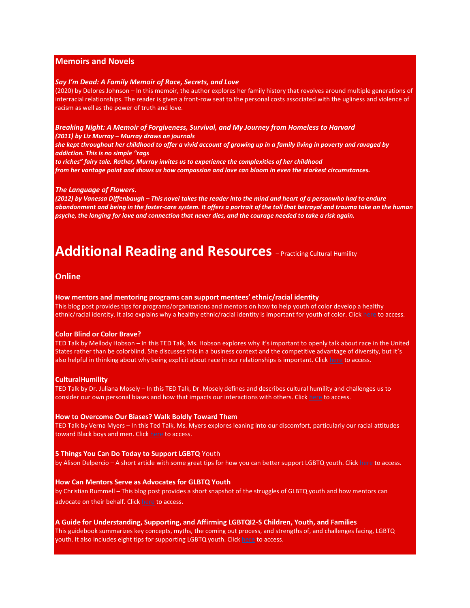## **Memoirs and Novels**

#### *Say I'm Dead: A Family Memoir of Race, Secrets, and Love*

(2020) by Delores Johnson – In this memoir, the author explores her family history that revolves around multiple generations of interracial relationships. The reader is given a front-row seat to the personal costs associated with the ugliness and violence of racism as well as the power of truth and love.

## *Breaking Night: A Memoir of Forgiveness, Survival, and My Journey from Homeless to Harvard (2011) by Liz Murray – Murray draws on journals*

*she kept throughout her childhood to offer a vivid account of growing up in a family living in poverty and ravaged by addiction. This is no simple "rags*

*to riches" fairy tale. Rather, Murray invites us to experience the complexities of her childhood from her vantage point and shows us how compassion and love can bloom in even the starkest circumstances.* 

#### *The Language of Flowers.*

*(2012) by Vanessa Diffenbaugh – This novel takes the reader into the mind and heart of a personwho had to endure abandonment and being in the foster-care system. It offers a portrait of the toll that betrayal and trauma take on the human psyche, the longing for love and connection that never dies, and the courage needed to take a risk again.* 

# **Additional Reading and Resources** – Practicing Cultural Humility

## **Online**

#### **How mentors and mentoring programs can support mentees' ethnic/racial identity**

This blog post provides tips for programs/organizations and mentors on how to help youth of color develop a healthy ethnic/racial identity. It also explains why a healthy ethnic/racial identity is important for youth of color. Clic[k here](https://www.evidencebasedmentoring.org/how-mentors-and-mentoring-programs-can-support-mentees-ethnic-racial-identity/) to access.

## **Color Blind or Color Brave?**

TED Talk by Mellody Hobson – In this TED Talk, Ms. Hobson explores why it's important to openly talk about race in the United States rather than be colorblind. She discusses this in a business context and the competitive advantage of diversity, but it's also helpful in thinking about why being explicit about race in our relationships is important. Clic[k here](https://www.ted.com/talks/mellody_hobson_color_blind_or_color_brave%23t-33550) to access.

#### **CulturalHumility**

TED Talk by Dr. Juliana Mosely – In this TED Talk, Dr. Mosely defines and describes cultural humility and challenges us to consider our own personal biases and how that impacts our interactions with others. Click [here](https://www.youtube.com/watch?v=Ww_ml21L7Ns) to access.

#### **How to Overcome Our Biases? Walk Boldly Toward Them**

TED Talk by Verna Myers – In this Ted Talk, Ms. Myers explores leaning into our discomfort, particularly our racial attitudes toward Black boys and men. Click [here](https://www.ted.com/talks/verna_myers_how_to_overcome_our_biases_walk_boldly_toward_them?language=en) to access.

#### **5 Things You Can Do Today to Support LGBTQ** Youth

by Alison Delpercio – A short article with some great tips for how you can better support LGBTQ youth. Click [here](https://www.hrc.org/news/5-things-you-can-do-today-to-support-lgbtq-youth) to access.

#### **How Can Mentors Serve as Advocates for GLBTQ Youth**

by Christian Rummell – This blog post provides a short snapshot of the struggles of GLBTQ youth and how mentors can advocate on their behalf. Clic[k here](https://www.evidencebasedmentoring.org/forum-how-can-mentors-serve-as-advocates-for-glbtq-youth/) to access.

#### **A Guide for Understanding, Supporting, and Affirming LGBTQI2-S Children, Youth, and Families**

This guidebook summarizes key concepts, myths, the coming out process, and strengths of, and challenges facing, LGBTQ youth. It also includes eight tips for supporting LGBTQ youth. Clic[k here](https://www.air.org/sites/default/files/downloads/report/A_Guide_for_Understanding_Supporting_and_Affirming_LGBTQI2-S_Children_Youth_and_Families.pdf) to access.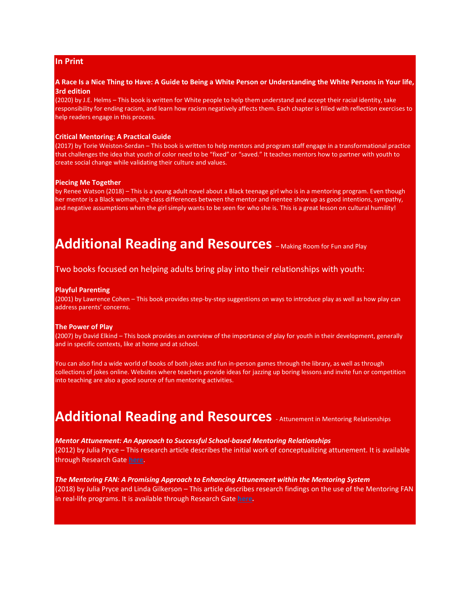## **In Print**

## **A Race Is a Nice Thing to Have: A Guide to Being a White Person or Understanding the White Persons in Your life, 3rd edition**

(2020) by J.E. Helms – This book is written for White people to help them understand and accept their racial identity, take responsibility for ending racism, and learn how racism negatively affects them. Each chapter is filled with reflection exercises to help readers engage in this process.

## **Critical Mentoring: A Practical Guide**

(2017) by Torie Weiston-Serdan – This book is written to help mentors and program staff engage in a transformational practice that challenges the idea that youth of color need to be "fixed" or "saved." It teaches mentors how to partner with youth to create social change while validating their culture and values.

#### **Piecing Me Together**

by Renee Watson (2018) – This is a young adult novel about a Black teenage girl who is in a mentoring program. Even though her mentor is a Black woman, the class differences between the mentor and mentee show up as good intentions, sympathy, and negative assumptions when the girl simply wants to be seen for who she is. This is a great lesson on cultural humility!

## **Additional Reading and Resources** - Making Room for Fun and Play

## Two books focused on helping adults bring play into their relationships with youth:

## **Playful Parenting**

(2001) by Lawrence Cohen – This book provides step-by-step suggestions on ways to introduce play as well as how play can address parents' concerns.

#### **The Power of Play**

(2007) by David Elkind – This book provides an overview of the importance of play for youth in their development, generally and in specific contexts, like at home and at school.

You can also find a wide world of books of both jokes and fun in-person games through the library, as well as through collections of jokes online. Websites where teachers provide ideas for jazzing up boring lessons and invite fun or competition into teaching are also a good source of fun mentoring activities.

## **Additional Reading and Resources** - Attunement in Mentoring Relationships

*Mentor Attunement: An Approach to Successful School-based Mentoring Relationships*  (2012) by Julia Pryce – This research article describes the initial work of conceptualizing attunement. It is available through Research Gate **[here](https://www.researchgate.net/profile/Julia-Pryce/publication/257544219_Mentor_Attunement_An_Approach_to_Successful_School-based_Mentoring_Relationships/links/55f073e308ae0af8ee1d1e5f/Mentor-Attunement-An-Approach-to-Successful-School-based-Mentoring-Relationships.pdf)**.

*The Mentoring FAN: A Promising Approach to Enhancing Attunement within the Mentoring System*  (2018) by Julia Pryce and Linda Gilkerson – This article describes research findings on the use of the Mentoring FAN in real-life programs. It is available through Research Gate **[here](https://www.researchgate.net/profile/Julia-Pryce/publication/325575721_The_Mentoring_FAN_A_Promising_Approach_to_Enhancing_Attunement_within_the_Mentoring_System_The_Mentoring_FAN_A_Promising_Approach_to_Enhancing_within_the_Mentoring_System/links/5b169ce4a6fdcc31bbf5b228/The-Mentoring-FAN-A-Promising-Approach-to-Enhancing-Attunement-within-the-Mentoring-System-The-Mentoring-FAN-A-Promising-Approach-to-Enhancing-within-the-Mentoring-System.pdf)***.*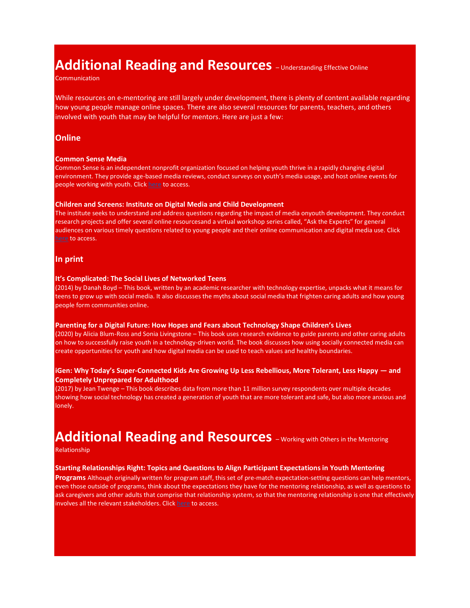# **Additional Reading and Resources** - Understanding Effective Online

**Communication** 

While resources on e-mentoring are still largely under development, there is plenty of content available regarding how young people manage online spaces. There are also several resources for parents, teachers, and others involved with youth that may be helpful for mentors. Here are just a few:

## **Online**

#### **Common Sense Media**

Common Sense is an independent nonprofit organization focused on helping youth thrive in a rapidly changing digital environment. They provide age-based media reviews, conduct surveys on youth's media usage, and host online events for people working with youth. Clic[k here](https://www.commonsensemedia.org/) to access.

#### **Children and Screens: Institute on Digital Media and Child Development**

The institute seeks to understand and address questions regarding the impact of media onyouth development. They conduct research projects and offer several online resourcesand a virtual workshop series called, "Ask the Experts" for general audiences on various timely questions related to young people and their online communication and digital media use. Click [here](https://www.childrenandscreens.com/) to access.

## **In print**

## **It's Complicated: The Social Lives of Networked Teens**

(2014) by Danah Boyd – This book, written by an academic researcher with technology expertise, unpacks what it means for teens to grow up with social media. It also discusses the myths about social media that frighten caring adults and how young people form communities online.

#### **Parenting for a Digital Future: How Hopes and Fears about Technology Shape Children's Lives**

(2020) by Alicia Blum-Ross and Sonia Livingstone – This book uses research evidence to guide parents and other caring adults on how to successfully raise youth in a technology-driven world. The book discusses how using socially connected media can create opportunities for youth and how digital media can be used to teach values and healthy boundaries.

## **iGen: Why Today's Super-Connected Kids Are Growing Up Less Rebellious, More Tolerant, Less Happy — and Completely Unprepared for Adulthood**

(2017) by Jean Twenge – This book describes data from more than 11 million survey respondents over multiple decades showing how social technology has created a generation of youth that are more tolerant and safe, but also more anxious and lonely.

# **Additional Reading and Resources** – Working with Others in the Mentoring

Relationship

## **Starting Relationships Right: Topics and Questions to Align Participant Expectations in Youth Mentoring**

**Programs** Although originally written for program staff, this set of pre-match expectation-setting questions can help mentors, even those outside of programs, think about the expectations they have for the mentoring relationship, as well as questions to ask caregivers and other adults that comprise that relationship system, so that the mentoring relationship is one that effectively involves all the relevant stakeholders. Click [here](https://nationalmentoringresourcecenter.org/research-tools/tools-to-strengthen-match-support-and-closure/) to access.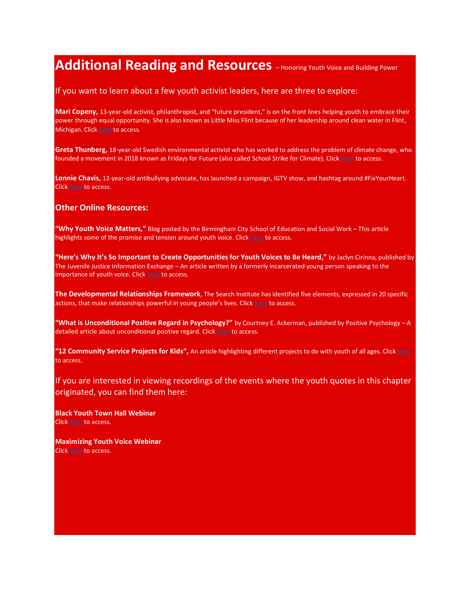# **Additional Reading and Resources** - Honoring Youth Voice and Building Power

## If you want to learn about a few youth activist leaders, here are three to explore:

**Mari Copeny,** 13-year-old activist, philanthropist, and "future president," is on the front lines helping youth to embrace their power through equal opportunity. She is also known as Little Miss Flint because of her leadership around clean water in Flint, Michigan. Click [here](https://www.maricopeny.com/) to access.

**Greta Thunberg,** 18-year-old Swedish environmental activist who has worked to address the problem of climate change, who founded a movement in 2018 known as Fridays for Future (also called School Strike for Climate). Clic[k here](https://time.com/person-of-the-year-2019-greta-thunberg/) to access.

**Lonnie Chavis,** 12-year-old antibullying advocate, has launched a campaign, IGTV show, and hashtag around #FixYourHeart. Click [here](https://people.com/human-interest/voices-against-racism-lonnie-chavis/) to access.

## **Other Online Resources:**

**"Why Youth Voice Matters,"** Blog posted by the Birmingham City School of Education and Social Work – This article highlights some of the promise and tension around youth voice. Click [here](https://www.bcu.ac.uk/education-and-social-work/about-us/school-blog/why-youth-voice-matters) to access.

**"Here's Why It's So Important to Create Opportunities for Youth Voices to Be Heard,"** by Jaclyn Cirinna, published by The Juvenile Justice Information Exchange – An article written by a formerly incarcerated young person speaking to the importance of youth voice. Clic[k here](https://jjie.org/2020/01/15/heres-why-its-so-important-to-create-opportunities-for-youth-voices-to-be-heard/) to access.

**The Developmental Relationships Framework**, The Search Institute has identified five elements, expressed in 20 specific actions, that make relationships powerful in young people's lives. Click [here](https://www.search-institute.org/developmental-relationships/developmental-relationships-framework/) to access.

**"What is Unconditional Positive Regard in Psychology?"** by Courtney E. Ackerman, published by Positive Psychology – A detailed article about unconditional positive regard. Click [here](https://positivepsychology.com/unconditional-positive-regard/) to access.

**"12 Community Service Projects for Kids",** An article highlighting different projects to do with youth of all ages. Clic[k here](https://blog.reallygoodstuff.com/12-community-service-projects-for-kids/) to access.

If you are interested in viewing recordings of the events where the youth quotes in this chapter originated, you can find them here:

**Black Youth Town Hall Webinar** Click [here](https://www.mentoring.org/resource/black-youth-town-hall/) to access.

**Maximizing Youth Voice Webinar** Click [here](https://www.mentoring.org/resource/cmws-january-2021-maximizing-youth-voice-in-mentoring-a-youth-led-discussion/) to access.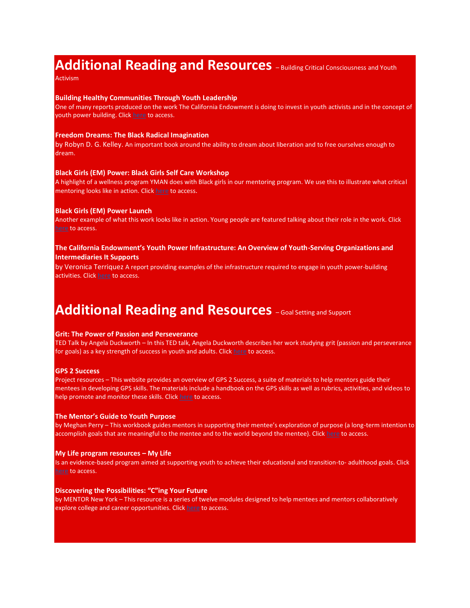## **Additional Reading and Resources** - Building Critical Consciousness and Youth

Activism

#### **Building Healthy Communities Through Youth Leadership**

One of many reports produced on the work The California Endowment is doing to invest in youth activists and in the concept of youth power building. Clic[k here](https://dornsife.usc.edu/assets/sites/242/docs/BHC_YouthOrganizing_2pgr_August2017.pdf) to access.

## **Freedom Dreams: The Black Radical Imagination**

by Robyn D. G. Kelley. An important book around the ability to dream about liberation and to free ourselves enough to dream.

## **Black Girls (EM) Power: Black Girls Self Care Workshop**

A highlight of a wellness program YMAN does with Black girls in our mentoring program. We use this to illustrate what critical mentoring looks like in action. Click [here](https://www.youtube.com/watch?v=ad4fNGeOVRc) to access.

## **Black Girls (EM) Power Launch**

Another example of what this work looks like in action. Young people are featured talking about their role in the work. Click [here](https://www.youtube.com/watch?v=V-1h1Ni7jQQ) to access.

## **The California Endowment's Youth Power Infrastructure: An Overview of Youth-Serving Organizations and Intermediaries It Supports**

by Veronica Terriquez A report providing examples of the infrastructure required to engage in youth power-building activities. Clic[k here](https://dornsife.usc.edu/assets/sites/242/docs/TCE_Youth_Infrastructure_Report.December_2019.FINAL.pdf) to access.

## **Additional Reading and Resources**  $\text{-}$  Goal Setting and Support

## **Grit: The Power of Passion and Perseverance**

TED Talk by Angela Duckworth – In this TED talk, Angela Duckworth describes her work studying grit (passion and perseverance for goals) as a key strength of success in youth and adults. Clic[k here](https://www.ted.com/talks/angela_lee_duckworth_grit_the_power_of_passion_and_perseverance) to access.

## **GPS 2 Success**

Project resources – This website provides an overview of GPS 2 Success, a suite of materials to help mentors guide their mentees in developing GPS skills. The materials include a handbook on the GPS skills as well as rubrics, activities, and videos to help promote and monitor these skills. Clic[k here](https://www.gps2success.com/) to access.

#### **The Mentor's Guide to Youth Purpose**

by Meghan Perry – This workbook guides mentors in supporting their mentee's exploration of purpose (a long-term intention to accomplish goals that are meaningful to the mentee and to the world beyond the mentee). Click [here](https://www.mentoring.org/wp-content/uploads/2019/12/The-Mentors-Guide-to-Youth-Purpose.pdf) to access.

#### **My Life program resources – My Life**

Is an evidence-based program aimed at supporting youth to achieve their educational and transition-to- adulthood goals. Click [here](https://www.cebc4cw.org/program/my-life/detailed) to access.

## **Discovering the Possibilities: "C"ing Your Future**

by MENTOR New York – This resource is a series of twelve modules designed to help mentees and mentors collaboratively explore college and career opportunities. Clic[k here](https://www.mentornewyork.org/discovering-the-possibilities) to access.